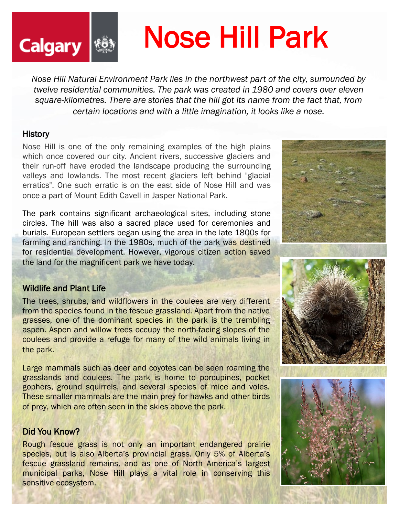# Nose Hill Park

*Nose Hill Natural Environment Park lies in the northwest part of the city, surrounded by twelve residential communities. The park was created in 1980 and covers over eleven square-kilometres. There are stories that the hill got its name from the fact that, from certain locations and with a little imagination, it looks like a nose.*

#### **History**

**Calgary** 

Nose Hill is one of the only remaining examples of the high plains which once covered our city. Ancient rivers, successive glaciers and their run-off have eroded the landscape producing the surrounding valleys and lowlands. The most recent glaciers left behind "glacial erratics". One such erratic is on the east side of Nose Hill and was once a part of Mount Edith Cavell in Jasper National Park.

The park contains significant archaeological sites, including stone circles. The hill was also a sacred place used for ceremonies and burials. European settlers began using the area in the late 1800s for farming and ranching. In the 1980s, much of the park was destined for residential development. However, vigorous citizen action saved the land for the magnificent park we have today.



#### Wildlife and Plant Life

The trees, shrubs, and wildflowers in the coulees are very different from the species found in the fescue grassland. Apart from the native grasses, one of the dominant species in the park is the trembling aspen. Aspen and willow trees occupy the north-facing slopes of the coulees and provide a refuge for many of the wild animals living in the park.

Large mammals such as deer and coyotes can be seen roaming the grasslands and coulees. The park is home to porcupines, pocket gophers, ground squirrels, and several species of mice and voles. These smaller mammals are the main prey for hawks and other birds of prey, which are often seen in the skies above the park.

#### Did You Know?

Rough fescue grass is not only an important endangered prairie species, but is also Alberta's provincial grass. Only 5% of Alberta's fescue grassland remains, and as one of North America's largest municipal parks, Nose Hill plays a vital role in conserving this sensitive ecosystem.

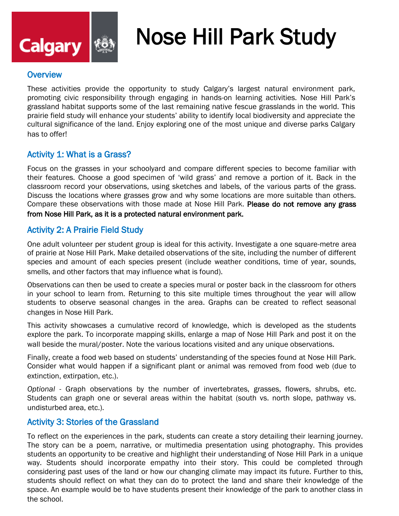

# Nose Hill Park Study

#### **Overview**

These activities provide the opportunity to study Calgary's largest natural environment park, promoting civic responsibility through engaging in hands-on learning activities. Nose Hill Park's grassland habitat supports some of the last remaining native fescue grasslands in the world. This prairie field study will enhance your students' ability to identify local biodiversity and appreciate the cultural significance of the land. Enjoy exploring one of the most unique and diverse parks Calgary has to offer!

#### Activity 1: What is a Grass?

Focus on the grasses in your schoolyard and compare different species to become familiar with their features. Choose a good specimen of 'wild grass' and remove a portion of it. Back in the classroom record your observations, using sketches and labels, of the various parts of the grass. Discuss the locations where grasses grow and why some locations are more suitable than others. Compare these observations with those made at Nose Hill Park. Please do not remove any grass from Nose Hill Park, as it is a protected natural environment park.

#### Activity 2: A Prairie Field Study

One adult volunteer per student group is ideal for this activity. Investigate a one square-metre area of prairie at Nose Hill Park. Make detailed observations of the site, including the number of different species and amount of each species present (include weather conditions, time of year, sounds, smells, and other factors that may influence what is found).

Observations can then be used to create a species mural or poster back in the classroom for others in your school to learn from. Returning to this site multiple times throughout the year will allow students to observe seasonal changes in the area. Graphs can be created to reflect seasonal changes in Nose Hill Park.

This activity showcases a cumulative record of knowledge, which is developed as the students explore the park. To incorporate mapping skills, enlarge a map of Nose Hill Park and post it on the wall beside the mural/poster. Note the various locations visited and any unique observations.

Finally, create a food web based on students' understanding of the species found at Nose Hill Park. Consider what would happen if a significant plant or animal was removed from food web (due to extinction, extirpation, etc.).

*Optional* - Graph observations by the number of invertebrates, grasses, flowers, shrubs, etc. Students can graph one or several areas within the habitat (south vs. north slope, pathway vs. undisturbed area, etc.).

#### Activity 3: Stories of the Grassland

To reflect on the experiences in the park, students can create a story detailing their learning journey. The story can be a poem, narrative, or multimedia presentation using photography. This provides students an opportunity to be creative and highlight their understanding of Nose Hill Park in a unique way. Students should incorporate empathy into their story. This could be completed through considering past uses of the land or how our changing climate may impact its future. Further to this, students should reflect on what they can do to protect the land and share their knowledge of the space. An example would be to have students present their knowledge of the park to another class in the school.